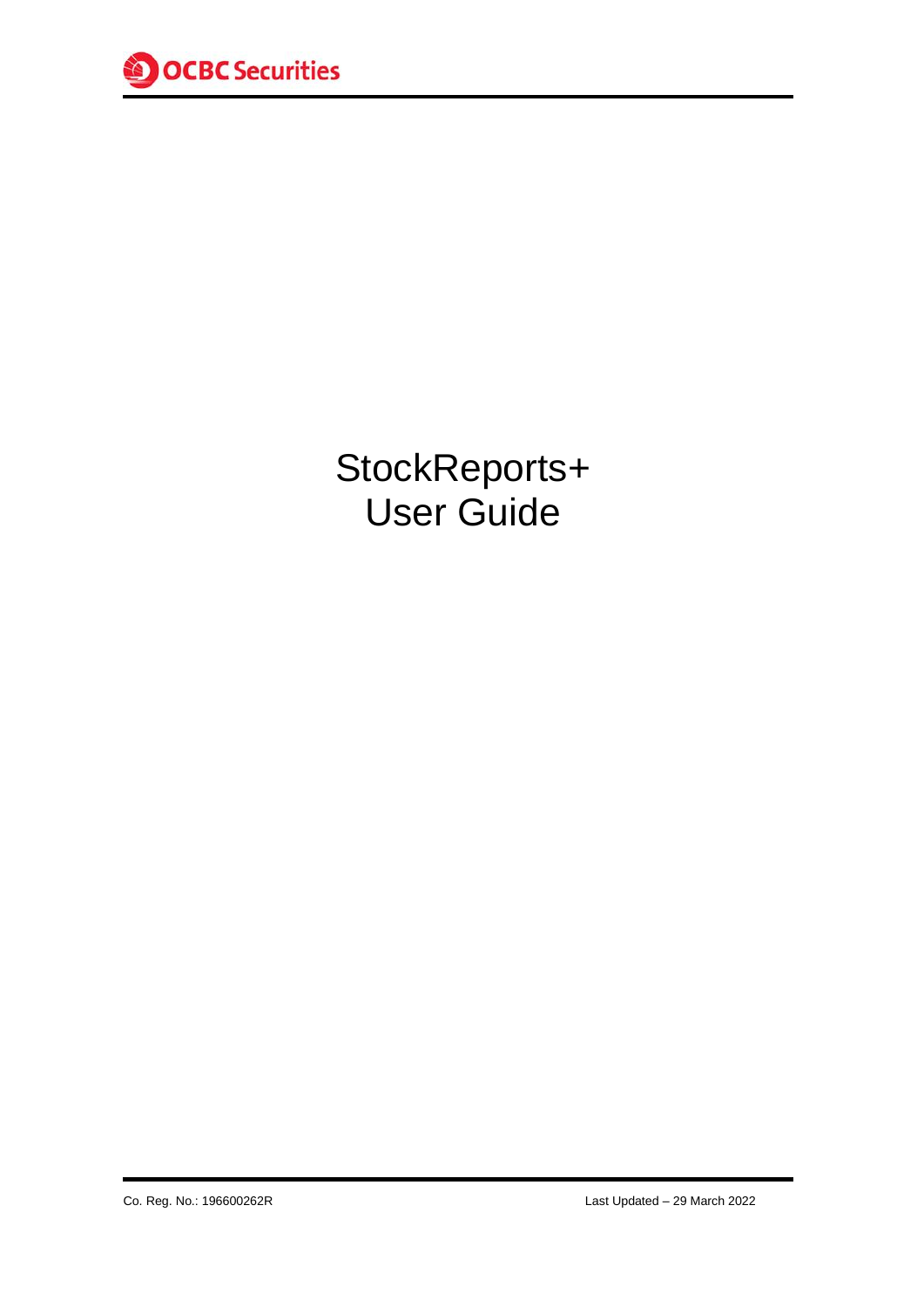

# StockReports+ User Guide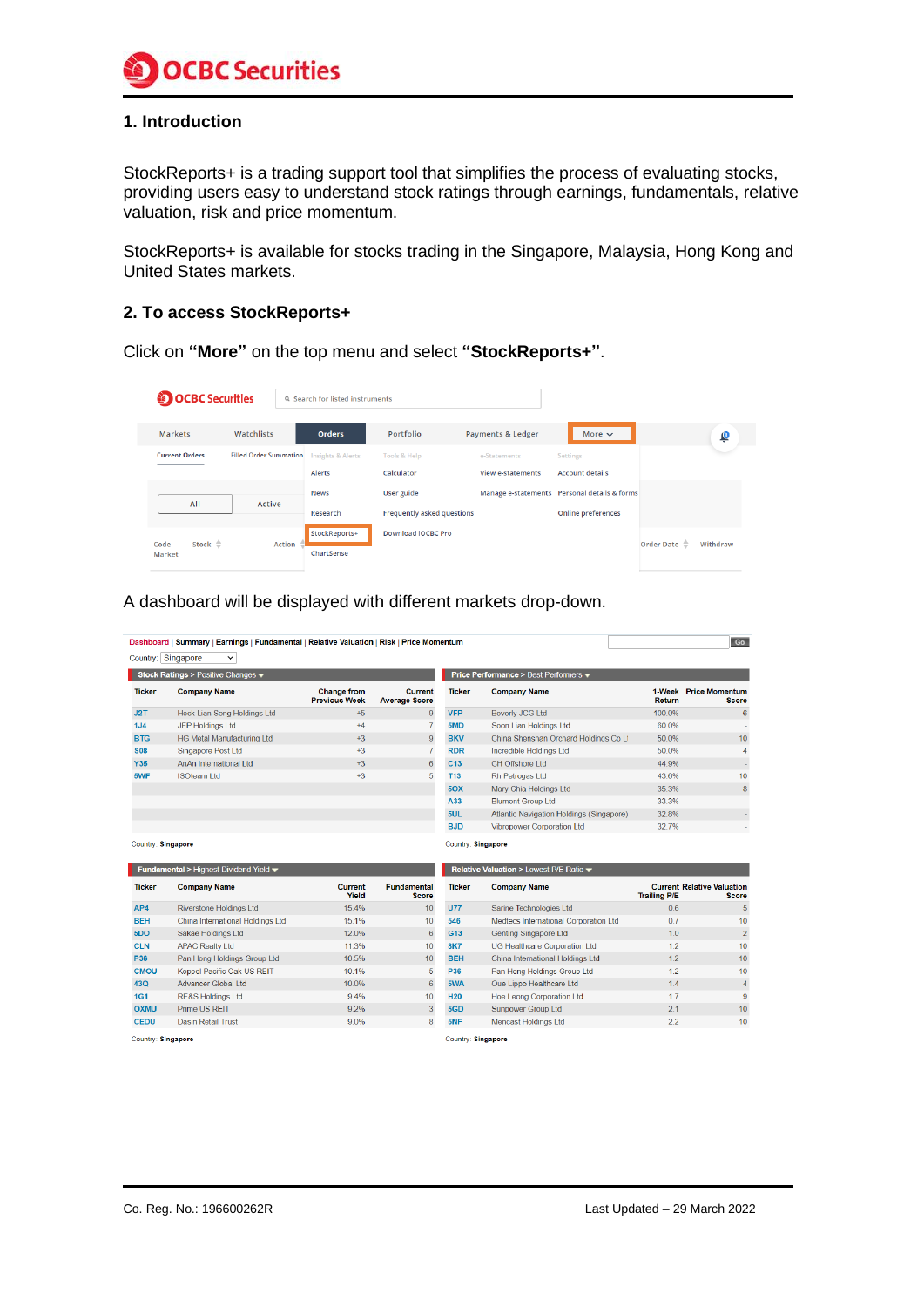#### **1. Introduction**

StockReports+ is a trading support tool that simplifies the process of evaluating stocks, providing users easy to understand stock ratings through earnings, fundamentals, relative valuation, risk and price momentum.

StockReports+ is available for stocks trading in the Singapore, Malaysia, Hong Kong and United States markets.

#### **2. To access StockReports+**

Click on **"More"** on the top menu and select **"StockReports+"**.

|                                      | <b>OCBC</b> Securities<br>Q Search for listed instruments |                                               |                                          |                                          |                                                                           |                                      |          |  |
|--------------------------------------|-----------------------------------------------------------|-----------------------------------------------|------------------------------------------|------------------------------------------|---------------------------------------------------------------------------|--------------------------------------|----------|--|
| <b>Markets</b>                       | Watchlists                                                | <b>Orders</b>                                 | Portfolio                                | Payments & Ledger                        | More $\sim$                                                               |                                      | 粵        |  |
| <b>Current Orders</b>                | <b>Filled Order Summation</b>                             | <b>Insights &amp; Alerts</b><br><b>Alerts</b> | <b>Tools &amp; Help</b><br>Calculator    | e-Statements<br><b>View e-statements</b> | <b>Settings</b><br><b>Account details</b>                                 |                                      |          |  |
| All                                  | Active                                                    | <b>News</b><br>Research                       | User guide<br>Frequently asked questions |                                          | Manage e-statements Personal details & forms<br><b>Online preferences</b> |                                      |          |  |
| Stock $\triangleq$<br>Code<br>Market | Action                                                    | StockReports+<br>ChartSense                   | Download <b>iOCBC</b> Pro                |                                          |                                                                           | Order Date $\stackrel{\triangle}{=}$ | Withdraw |  |

A dashboard will be displayed with different markets drop-down.

|                                    | Country: Singapore<br>$\check{ }$                         |                                            |                                        |                                  |                                          |                     |                                                                          |
|------------------------------------|-----------------------------------------------------------|--------------------------------------------|----------------------------------------|----------------------------------|------------------------------------------|---------------------|--------------------------------------------------------------------------|
|                                    | Stock Ratings > Positive Changes $\blacktriangledown$     |                                            |                                        |                                  | Price Performance > Best Performers ▼    |                     |                                                                          |
| <b>Ticker</b>                      | <b>Company Name</b>                                       | <b>Change from</b><br><b>Previous Week</b> | <b>Current</b><br><b>Average Score</b> | <b>Ticker</b>                    | <b>Company Name</b>                      | Return              | 1-Week Price Momentum<br><b>Score</b>                                    |
| J <sub>2</sub> T                   | <b>Hock Lian Seng Holdings Ltd</b>                        | $+5$                                       | 9                                      | <b>VFP</b>                       | <b>Beverly JCG Ltd</b>                   | 100.0%              | $6\phantom{1}$                                                           |
| 1J <sub>4</sub>                    | <b>JEP Holdings Ltd</b>                                   | $+4$                                       | $\overline{7}$                         | 5MD                              | Soon Lian Holdings Ltd                   | 60.0%               |                                                                          |
| <b>BTG</b>                         | <b>HG Metal Manufacturing Ltd</b>                         | $+3$                                       | $\overline{9}$                         | <b>BKV</b>                       | China Shenshan Orchard Holdings Co Lt    | 50.0%               | 10                                                                       |
| <b>S08</b>                         | Singapore Post Ltd                                        | $+3$                                       | 7                                      | <b>RDR</b>                       | Incredible Holdings Ltd                  | 50.0%               | 4                                                                        |
| <b>Y35</b>                         | AnAn International Ltd                                    | $+3$                                       | 6                                      | C <sub>13</sub>                  | CH Offshore Ltd                          | 44.9%               |                                                                          |
| 5WF                                | <b>ISOteam Ltd</b>                                        | $+3$                                       | 5                                      | <b>T13</b>                       | Rh Petrogas Ltd                          | 43.6%               | 10                                                                       |
|                                    |                                                           |                                            |                                        | 5OX                              | Mary Chia Holdings Ltd                   | 35.3%               | 8                                                                        |
|                                    |                                                           |                                            |                                        | A33                              | <b>Blumont Group Ltd</b>                 | 33.3%               |                                                                          |
|                                    |                                                           |                                            |                                        |                                  |                                          |                     |                                                                          |
|                                    |                                                           |                                            |                                        | 5UL                              | Atlantic Navigation Holdings (Singapore) | 32.8%               |                                                                          |
| Country: Singapore                 |                                                           |                                            |                                        | <b>BJD</b><br>Country: Singapore | Vibropower Corporation Ltd               | 32.7%               |                                                                          |
|                                    | Fundamental > Highest Dividend Yield $\blacktriangledown$ |                                            |                                        |                                  | Relative Valuation > Lowest P/E Ratio ▼  |                     |                                                                          |
|                                    | <b>Company Name</b>                                       | <b>Current</b><br>Yield                    | <b>Fundamental</b><br><b>Score</b>     | <b>Ticker</b>                    | <b>Company Name</b>                      | <b>Trailing P/E</b> | <b>Current Relative Valuation</b><br><b>Score</b>                        |
|                                    | <b>Riverstone Holdings Ltd</b>                            | 15.4%                                      | 10                                     | <b>U77</b>                       | Sarine Technologies Ltd                  | 0.6                 |                                                                          |
| <b>Ticker</b><br>AP4<br><b>BEH</b> | China International Holdings Ltd                          | 15.1%                                      | 10                                     | 546                              | Medtecs International Corporation Ltd    | 0.7                 |                                                                          |
| 5DO                                | Sakae Holdings Ltd                                        | 12.0%                                      | 6                                      | G13                              | <b>Genting Singapore Ltd</b>             | 1.0                 |                                                                          |
| <b>CLN</b>                         | <b>APAC Realty Ltd</b>                                    | 11.3%                                      | 10                                     | <b>8K7</b>                       | UG Healthcare Corporation Ltd            | 1.2                 |                                                                          |
| <b>P36</b>                         | Pan Hong Holdings Group Ltd                               | 10.5%                                      | 10 <sub>1</sub>                        | <b>BEH</b>                       | China International Holdings Ltd         | 1.2                 |                                                                          |
| <b>CMOU</b>                        | Keppel Pacific Oak US REIT                                | 10.1%                                      | 5                                      | P36                              | Pan Hong Holdings Group Ltd              | 1.2                 |                                                                          |
|                                    | <b>Advancer Global Ltd</b>                                | 10.0%                                      | $6\phantom{1}$                         | 5WA                              | Oue Lippo Healthcare Ltd                 | 1.4                 |                                                                          |
| <b>43Q</b><br><b>1G1</b>           | <b>RE&amp;S Holdings Ltd</b>                              | 9.4%                                       | 10                                     | <b>H20</b>                       | <b>Hoe Leong Corporation Ltd</b>         | 1.7                 |                                                                          |
| <b>OXMU</b>                        | Prime US RFIT                                             | 9.2%                                       | 3                                      | 5GD                              | Sunpower Group Ltd                       | 2.1                 | 5<br>10<br>$\overline{2}$<br>10<br>10<br>10<br>$\overline{4}$<br>9<br>10 |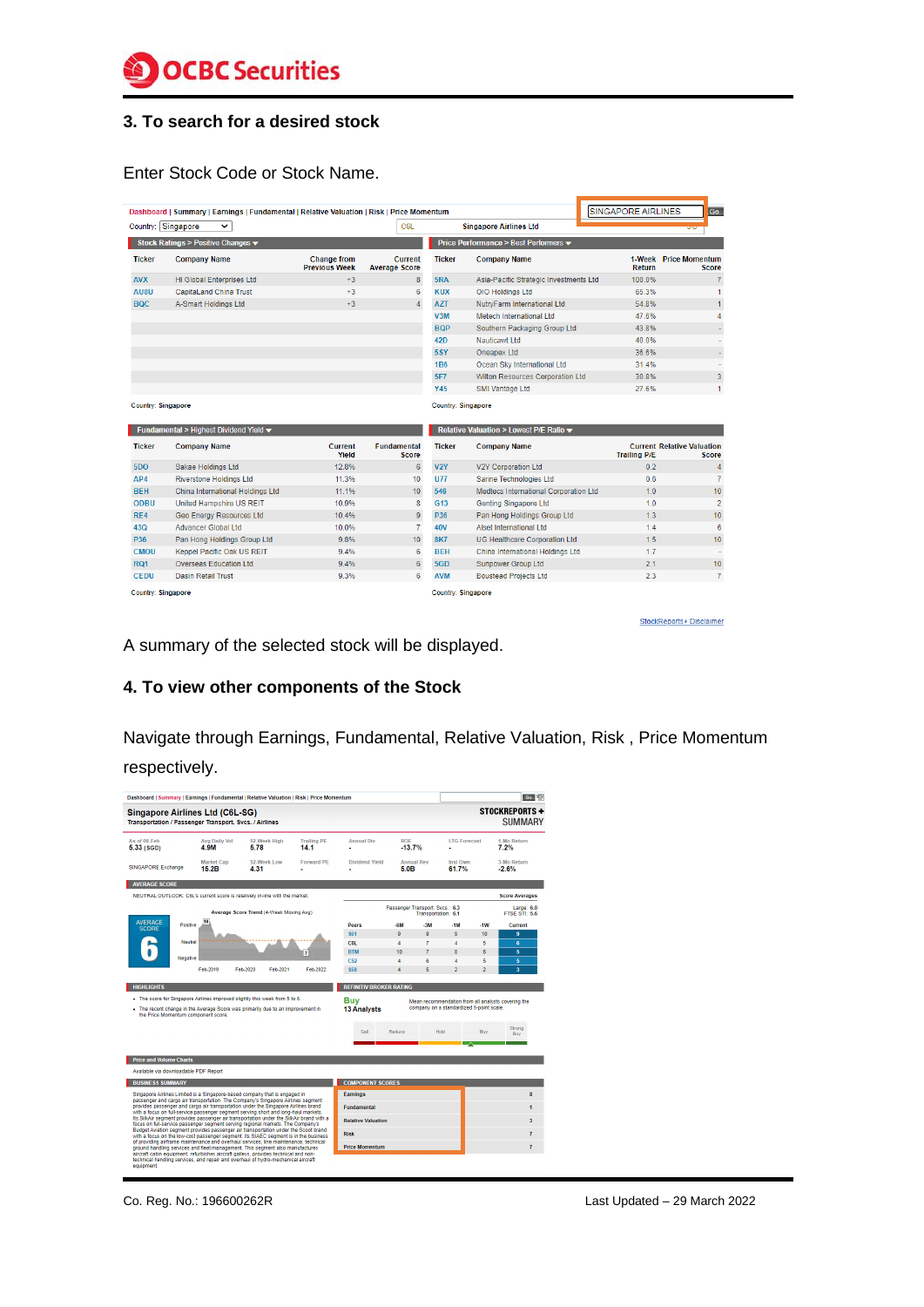#### **3. To search for a desired stock**

#### Enter Stock Code or Stock Name.

|                                                                                                                 | Dashboard   Summary   Earnings   Fundamental   Relative Valuation   Risk   Price Momentum | SINGAPORE AIRLINES<br>$G_0$                |                                        |                 |                                         |                     |                                                   |
|-----------------------------------------------------------------------------------------------------------------|-------------------------------------------------------------------------------------------|--------------------------------------------|----------------------------------------|-----------------|-----------------------------------------|---------------------|---------------------------------------------------|
| Country:                                                                                                        | Singapore<br>$\checkmark$                                                                 |                                            | C6L                                    |                 | <b>Singapore Airlines Ltd</b>           |                     |                                                   |
|                                                                                                                 | Stock Ratings > Positive Changes $\blacktriangledown$                                     |                                            |                                        |                 | Price Performance > Best Performers ▼   |                     |                                                   |
| <b>Ticker</b>                                                                                                   | <b>Company Name</b>                                                                       | <b>Change from</b><br><b>Previous Week</b> | <b>Current</b><br><b>Average Score</b> | <b>Ticker</b>   | <b>Company Name</b>                     | Return              | 1-Week Price Momentum<br><b>Score</b>             |
| <b>AVX</b>                                                                                                      | <b>HI Global Enterprises Ltd</b>                                                          | $+3$                                       | 8                                      | 5RA             | Asia-Pacific Strategic Investments Ltd  | 100.0%              | $\overline{7}$                                    |
| AU8U                                                                                                            | <b>CapitaLand China Trust</b>                                                             | $+3$                                       | $6\phantom{1}$                         | <b>KUX</b>      | OIO Holdings Ltd                        | 65.3%               | 1                                                 |
| <b>BQC</b>                                                                                                      | A-Smart Holdings Ltd                                                                      | $+3$                                       | $\overline{4}$                         | <b>AZT</b>      | NutryFarm International Ltd             | 54.8%               | 1                                                 |
|                                                                                                                 |                                                                                           |                                            |                                        | V3M             | Metech International Ltd                | 47.6%               | 4                                                 |
|                                                                                                                 |                                                                                           |                                            |                                        | <b>BOP</b>      | Southern Packaging Group Ltd            | 43.8%               |                                                   |
|                                                                                                                 |                                                                                           |                                            |                                        | 42D             | Nauticawt Ltd                           | 40.0%               |                                                   |
|                                                                                                                 |                                                                                           |                                            |                                        | <b>5SY</b>      | Oneapex Ltd                             | 36.6%               |                                                   |
|                                                                                                                 |                                                                                           |                                            |                                        | <b>1B6</b>      | Ocean Sky International Ltd             | 31.4%               |                                                   |
|                                                                                                                 |                                                                                           |                                            |                                        | <b>5F7</b>      | Wilton Resources Corporation Ltd        | 30.8%               | 3                                                 |
|                                                                                                                 |                                                                                           |                                            |                                        | <b>Y45</b>      | SMI Vantage Ltd                         | 27.6%               | 1                                                 |
| <b>Ticker</b>                                                                                                   | Fundamental > Highest Dividend Yield $\blacktriangledown$<br><b>Company Name</b>          |                                            |                                        |                 |                                         |                     |                                                   |
|                                                                                                                 |                                                                                           |                                            |                                        |                 | Relative Valuation > Lowest P/E Ratio ▼ |                     |                                                   |
|                                                                                                                 |                                                                                           | Current<br>Yield                           | <b>Fundamental</b><br>Score            | <b>Ticker</b>   | <b>Company Name</b>                     | <b>Trailing P/E</b> | <b>Current Relative Valuation</b><br><b>Score</b> |
|                                                                                                                 | Sakae Holdings Ltd                                                                        | 12.8%                                      | $6\phantom{a}$                         | <b>V2Y</b>      | V2Y Corporation Ltd                     | 0.2                 | 4                                                 |
|                                                                                                                 | <b>Riverstone Holdings Ltd</b>                                                            | 11.3%                                      | 10                                     | <b>U77</b>      | Sarine Technologies Ltd                 | 0.6                 | $\overline{7}$                                    |
|                                                                                                                 | China International Holdings Ltd                                                          | 11.1%                                      | 10 <sup>°</sup>                        | 546             | Medtecs International Corporation Ltd   | 10                  | 10                                                |
|                                                                                                                 | United Hampshire US REIT                                                                  | 10.9%                                      | 8                                      | G <sub>13</sub> | Genting Singapore Ltd                   | 10                  | $\overline{2}$                                    |
|                                                                                                                 | Geo Energy Resources Ltd                                                                  | 10.4%                                      | 9                                      | <b>P36</b>      | Pan Hong Holdings Group Ltd             | 1.3                 | 10 <sub>1</sub>                                   |
|                                                                                                                 | <b>Advancer Global Ltd</b>                                                                | 10.0%                                      | $\overline{7}$                         | <b>40V</b>      | Alset International Ltd                 | 1.4                 | 6                                                 |
|                                                                                                                 | Pan Hong Holdings Group Ltd                                                               | 9.8%                                       | 10 <sup>1</sup>                        | <b>8K7</b>      | <b>UG Healthcare Corporation Ltd</b>    | 1.5                 | 10 <sup>°</sup>                                   |
|                                                                                                                 | <b>Keppel Pacific Oak US REIT</b>                                                         | 9.4%                                       | 6                                      | <b>BEH</b>      | China International Holdings Ltd        | 1.7                 |                                                   |
|                                                                                                                 | <b>Overseas Education Ltd</b>                                                             | 9.4%                                       | 6                                      | 5GD             | Sunpower Group Ltd                      | 2.1                 | 10 <sub>1</sub>                                   |
| <b>5DO</b><br>AP4<br><b>BEH</b><br>ODBU<br>RE4<br><b>43Q</b><br><b>P36</b><br><b>CMOU</b><br><b>RQ1</b><br>CEDU | Dasin Retail Trust                                                                        | 9.3%                                       | 6                                      | <b>AVM</b>      | <b>Boustead Projects Ltd</b>            | 23                  |                                                   |

StockReports+ Disclaimer

A summary of the selected stock will be displayed.

### **4. To view other components of the Stock**

Navigate through Earnings, Fundamental, Relative Valuation, Risk , Price Momentum respectively.

| Dashboard   Summary   Earnings   Fundamental   Relative Valuation   Risk   Price Momentum                                                                                                                                                                     |                              |                                         |                            |                                  |                        |                                                        |                                          |                     | Go <b>FM</b>                                       |
|---------------------------------------------------------------------------------------------------------------------------------------------------------------------------------------------------------------------------------------------------------------|------------------------------|-----------------------------------------|----------------------------|----------------------------------|------------------------|--------------------------------------------------------|------------------------------------------|---------------------|----------------------------------------------------|
| Singapore Airlines Ltd (C6L-SG)<br>Transportation / Passenger Transport, Svcs. / Airlines                                                                                                                                                                     |                              |                                         |                            |                                  |                        |                                                        |                                          |                     | STOCKREPORTS+<br><b>SUMMARY</b>                    |
| As of 08-Feb<br>5.33 (SGD)                                                                                                                                                                                                                                    | <b>Avg Daily Vol</b><br>4.9M | 52-Week High<br>5.78                    | <b>Trailing PE</b><br>14.1 | <b>Annual Div</b>                | <b>ROE</b><br>$-13.7%$ |                                                        | <b>LTG Forecast</b>                      |                     | 1-Mo Return<br>7.2%                                |
| SINGAPORE Exchange                                                                                                                                                                                                                                            | <b>Market Cap</b><br>15.2B   | 52-Week Low<br>4.31                     | <b>Forward PF</b>          | <b>Dividend Yield</b>            | 5.0B                   | <b>Annual Rev</b>                                      | Inst Own<br>61.7%                        |                     | 3.Mo Return<br>$-2.6%$                             |
| <b>AVERAGE SCORE</b>                                                                                                                                                                                                                                          |                              |                                         |                            |                                  |                        |                                                        |                                          |                     |                                                    |
| NEUTRAL OUTLOOK: C6L's current score is relatively in-line with the market.                                                                                                                                                                                   |                              |                                         |                            |                                  |                        |                                                        |                                          |                     | <b>Score Averages</b>                              |
|                                                                                                                                                                                                                                                               |                              | Average Score Trend (4-Week Moving Avg) |                            |                                  |                        | Passenger Transport, Svcs.: 6.3<br>Transportation: 6.1 |                                          |                     | Large: 6.0<br>FTSE STI: 5.6                        |
| <b>AVERAGE</b><br>Positive<br>SCORE                                                                                                                                                                                                                           | 10                           |                                         |                            | <b>Peers</b>                     | $-6M$                  | 3M                                                     | .1M                                      | .1W                 | <b>Current</b>                                     |
|                                                                                                                                                                                                                                                               |                              |                                         |                            | <b>S61</b>                       | $\mathbf{Q}$           | $\mathbf{Q}$                                           | $\mathbf{Q}$                             | 10                  | 9                                                  |
| Neutral                                                                                                                                                                                                                                                       |                              |                                         |                            | C6L                              | $\overline{a}$         | $\overline{7}$                                         | $\overline{a}$                           | 5                   | 6                                                  |
| Negative                                                                                                                                                                                                                                                      |                              |                                         | $\overline{\mathbf{z}}$    | <b>BTM</b>                       | 10                     | $\overline{7}$                                         | 8                                        | 6                   | 5                                                  |
|                                                                                                                                                                                                                                                               | Feb-2019                     | Feb-2020<br>Feb-2021                    | Feb-2022                   | C <sub>52</sub><br>\$58          | 4<br>4                 | 6<br>5                                                 | $\overline{4}$<br>$\mathcal{P}$          | 5<br>$\mathfrak{p}$ | 5<br>$\overline{\mathbf{3}}$                       |
|                                                                                                                                                                                                                                                               |                              |                                         |                            |                                  |                        |                                                        |                                          |                     |                                                    |
| <b>HIGHLIGHTS</b>                                                                                                                                                                                                                                             |                              |                                         |                            | <b>REFINITIV BROKER RATING</b>   |                        |                                                        |                                          |                     |                                                    |
| - The score for Singapore Airlines improved slightly this week from 5 to 6.<br>. The recent change in the Average Score was primarily due to an improvement in<br>the Price Momentum component score.                                                         |                              |                                         |                            | <b>Buv</b><br><b>13 Analysts</b> |                        |                                                        | company on a standardized 5-point scale. |                     | Mean recommendation from all analysts covering the |
|                                                                                                                                                                                                                                                               |                              |                                         |                            | Sell                             | Reduce                 |                                                        | Hnid                                     | <b>Buy</b>          | Strong<br>Buy                                      |
| <b>Price and Volume Charts</b>                                                                                                                                                                                                                                |                              |                                         |                            |                                  |                        |                                                        |                                          |                     |                                                    |
| Available via downloadable PDF Report                                                                                                                                                                                                                         |                              |                                         |                            |                                  |                        |                                                        |                                          |                     |                                                    |
| <b>BUSINESS SUMMARY</b>                                                                                                                                                                                                                                       |                              |                                         |                            | <b>COMPONENT SCORES</b>          |                        |                                                        |                                          |                     |                                                    |
| Singapore Airlines Limited is a Singapore-based company that is engaged in                                                                                                                                                                                    |                              |                                         |                            | <b>Earnings</b>                  |                        |                                                        |                                          |                     | $\mathbf{a}$                                       |
| passenger and cargo air transportation. The Company's Singapore Airlines segment<br>provides passenger and cargo air transportation under the Singapore Airlines brand<br>with a focus on full-service passenger segment serving short and long-haul markets. |                              |                                         |                            | <b>Fundamental</b>               |                        |                                                        |                                          |                     | 1                                                  |
| Its SilkAir seament provides passenger air transportation under the SilkAir brand with a<br>focus on full-service passenger segment serving regional markets. The Company's                                                                                   |                              |                                         |                            | <b>Relative Valuation</b>        |                        |                                                        |                                          |                     | 3                                                  |
| Budget Aviation segment provides passenger air transportation under the Scoot brand<br>with a focus on the low-cost passenger segment. Its SIAEC segment is in the business                                                                                   |                              |                                         |                            | <b>Risk</b>                      |                        |                                                        |                                          |                     | 7                                                  |
| of providing airframe maintenance and overhaul services, line maintenance, technical<br>ground handling services and fleet management. This segment also manufactures                                                                                         |                              |                                         |                            | <b>Price Momentum</b>            |                        |                                                        |                                          |                     | 7                                                  |
| aircraft cabin equipment, refurbishes aircraft galleys, provides technical and non-<br>technical handling services, and repair and overhaul of hydro-mechanical aircraft<br>equipment.                                                                        |                              |                                         |                            |                                  |                        |                                                        |                                          |                     |                                                    |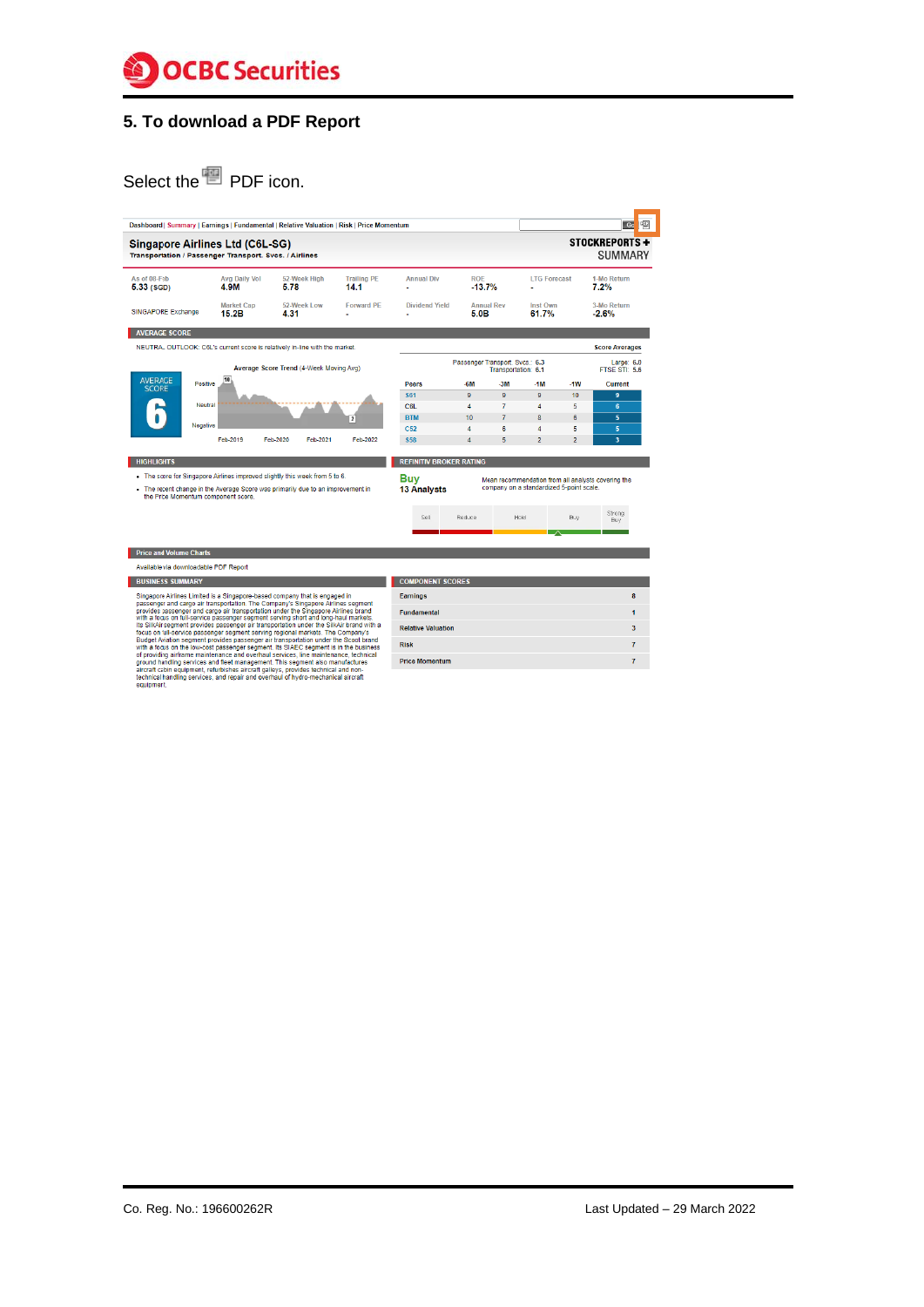## **5. To download a PDF Report**

## Select the <sup>图</sup> PDF icon.

| Singapore Airlines Ltd (C6L-SG)<br>Transportation / Passenger Transport. Svcs. / Airlines                                                                                                             |                              |                                         |                                                                                                   |                                  |                        |                                                        |                                          |                | STOCKREPORTS+<br><b>SUMMARY</b>                    |
|-------------------------------------------------------------------------------------------------------------------------------------------------------------------------------------------------------|------------------------------|-----------------------------------------|---------------------------------------------------------------------------------------------------|----------------------------------|------------------------|--------------------------------------------------------|------------------------------------------|----------------|----------------------------------------------------|
| As of 08-Feb<br>$5.33$ (SGD)                                                                                                                                                                          | <b>Avg Daily Vol</b><br>4.9M | 52-Week High<br>5.78                    | <b>Trailing PE</b><br>14.1                                                                        | <b>Annual Div</b>                | <b>ROE</b><br>$-13.7%$ |                                                        | <b>LTG Forecast</b>                      |                | 1-Mo Return<br>7.2%                                |
| SINGAPORE Exchange                                                                                                                                                                                    | <b>Market Cap</b><br>15.2B   | 52-Week Low<br>4.31                     | <b>Forward PF</b><br><b>Dividend Yield</b><br><b>Annual Rev</b><br>Inst Own<br>5.0B<br>61.7%<br>٠ |                                  |                        | 3-Mo Return<br>$-2.6%$                                 |                                          |                |                                                    |
| <b>AVERAGE SCORE</b>                                                                                                                                                                                  |                              |                                         |                                                                                                   |                                  |                        |                                                        |                                          |                |                                                    |
| NEUTRAL OUTLOOK: C6L's current score is relatively in-line with the market.                                                                                                                           |                              |                                         |                                                                                                   |                                  |                        |                                                        |                                          |                | <b>Score Averages</b>                              |
|                                                                                                                                                                                                       |                              | Average Score Trend (4-Week Moving Avg) |                                                                                                   |                                  |                        | Passenger Transport. Svcs.: 6.3<br>Transportation: 6.1 |                                          |                | Large: 6.0<br>FTSE STI: 5.6                        |
| <b>AVERAGE</b><br>Positive<br><b>SCORE</b>                                                                                                                                                            | 10                           |                                         |                                                                                                   | <b>Peers</b>                     | $-6M$                  | $-3M$                                                  | $-1M$                                    | $-1W$          | <b>Current</b>                                     |
|                                                                                                                                                                                                       |                              |                                         |                                                                                                   | <b>S61</b>                       | $\mathbf{Q}$           | 9                                                      | $\overline{9}$                           | 10             | 9                                                  |
| Neutral                                                                                                                                                                                               |                              |                                         |                                                                                                   | C6I                              | 4                      | $\overline{7}$                                         | $\overline{4}$                           | 5              | 6                                                  |
| Negative                                                                                                                                                                                              |                              |                                         | $\overline{2}$                                                                                    | <b>BTM</b>                       | 10                     | $\overline{7}$                                         | s.                                       | 6              | 5                                                  |
|                                                                                                                                                                                                       |                              |                                         |                                                                                                   | C <sub>52</sub>                  | 4                      | 6                                                      | 4                                        | 5              | 5                                                  |
|                                                                                                                                                                                                       | Feb-2019                     | Feb-2020<br>Feb-2021                    | Feb-2022                                                                                          | <b>S58</b>                       | 4                      | 5                                                      | $\overline{2}$                           | $\overline{2}$ | 3                                                  |
| <b>HIGHLIGHTS</b>                                                                                                                                                                                     |                              |                                         |                                                                                                   | <b>REFINITIV BROKER RATING</b>   |                        |                                                        |                                          |                |                                                    |
| . The score for Singapore Airlines improved slightly this week from 5 to 6.<br>. The recent change in the Average Score was primarily due to an improvement in<br>the Price Momentum component score. |                              |                                         |                                                                                                   | <b>Buv</b><br><b>13 Analysts</b> |                        |                                                        | company on a standardized 5-point scale. |                | Mean recommendation from all analysts covering the |
|                                                                                                                                                                                                       |                              |                                         |                                                                                                   | Sell                             | Reduce                 |                                                        | Hold                                     | <b>Buy</b>     | Strong<br><b>Buy</b>                               |
|                                                                                                                                                                                                       |                              |                                         |                                                                                                   |                                  |                        |                                                        | ∽                                        |                |                                                    |

**BUSINESS SUMMARY BUSINESS SUMMARY** business sommative<br>paper and the same paper and company that is engaged in<br>gaserage Airlines Limited is a Singapore-based company's Singapore Aritimes segment<br>provides passenger and cargo air transportation. The Company's

| <b>COMPONENT SCORES</b>   |   |
|---------------------------|---|
| <b>Earnings</b>           | 8 |
| <b>Fundamental</b>        |   |
| <b>Relative Valuation</b> | 3 |
| <b>Risk</b>               |   |
| <b>Price Momentum</b>     |   |